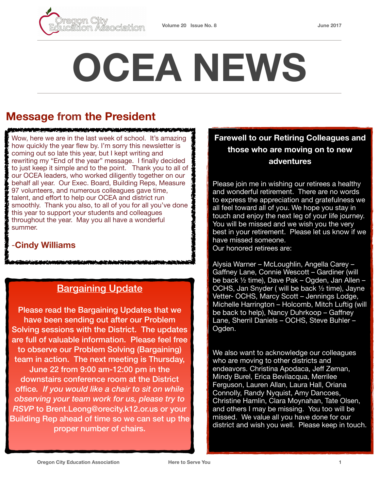

# **OCEA NEWS**

# **Message from the President**

<u>statem and the complete statement of the complete state</u>

Wow, here we are in the last week of school. It's amazing how quickly the year flew by. I'm sorry this newsletter is coming out so late this year, but I kept writing and rewriting my "End of the year" message. I finally decided to just keep it simple and to the point. Thank you to all of our OCEA leaders, who worked diligently together on our behalf all year. Our Exec. Board, Building Reps, Measure 97 volunteers, and numerous colleagues gave time, talent, and effort to help our OCEA and district run smoothly. Thank you also, to all of you for all you've done this year to support your students and colleagues throughout the year. May you all have a wonderful summer.

#### -**Cindy Williams**

## **Bargaining Update**

Please read the Bargaining Updates that we have been sending out after our Problem Solving sessions with the District. The updates are full of valuable information. Please feel free to observe our Problem Solving (Bargaining) team in action. The next meeting is Thursday, June 22 from 9:00 am-12:00 pm in the downstairs conference room at the District office*. If you would like a chair to sit on while observing your team work for us, please try to RSVP* to Brent.Leong@orecity.k12.or.us or your Building Rep ahead of time so we can set up the proper number of chairs.

#### **Farewell to our Retiring Colleagues and those who are moving on to new adventures**

Please join me in wishing our retirees a healthy and wonderful retirement. There are no words to express the appreciation and gratefulness we all feel toward all of you. We hope you stay in touch and enjoy the next leg of your life journey. You will be missed and we wish you the very best in your retirement. Please let us know if we have missed someone. Our honored retirees are:

Alysia Warner – McLoughlin, Angella Carey – Gaffney Lane, Connie Wescott – Gardiner (will be back ½ time), Dave Pak – Ogden, Jan Allen – OCHS, Jan Snyder ( will be back ½ time), Jayne Vetter- OCHS, Marcy Scott – Jennings Lodge, Michelle Harrington – Holcomb, Mitch Luftig (will be back to help), Nancy Duhrkoop – Gaffney Lane, Sherril Daniels – OCHS, Steve Buhler – Ogden.

We also want to acknowledge our colleagues who are moving to other districts and endeavors. Christina Apodaca, Jeff Zeman, Mindy Burel, Erica Bevilacqua, Merrilee Ferguson, Lauren Allan, Laura Hall, Oriana Connolly, Randy Nyquist, Amy Dancoes, Christine Hamlin, Clara Moynahan, Tate Olsen, and others I may be missing. You too will be missed. We value all you have done for our district and wish you well. Please keep in touch.